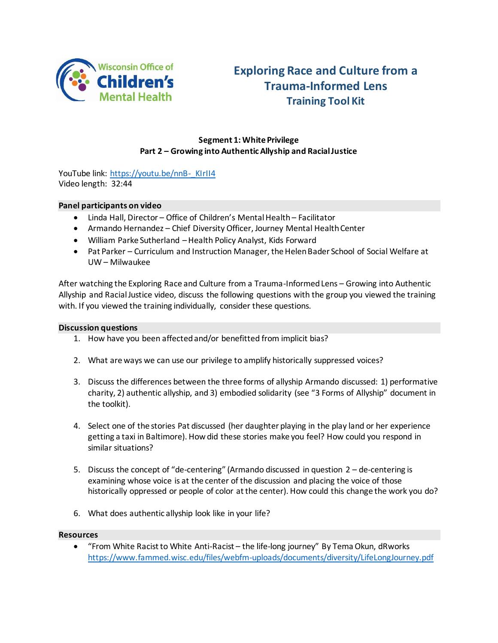

# **Exploring Race and Culture from a Trauma-Informed Lens Training Tool Kit**

# **Segment 1: White Privilege Part 2 – Growing into Authentic Allyship and Racial Justice**

YouTube link: [https://youtu.be/nnB-\\_KIrII4](https://youtu.be/nnB-_KIrII4) Video length: 32:44

### **Panel participants on video**

- Linda Hall, Director Office of Children's Mental Health Facilitator
- Armando Hernandez Chief Diversity Officer, Journey Mental Health Center
- William Parke Sutherland –Health Policy Analyst, Kids Forward
- Pat Parker Curriculum and Instruction Manager, the Helen Bader School of Social Welfare at UW – Milwaukee

After watching the Exploring Race and Culture from a Trauma-Informed Lens – Growing into Authentic Allyship and Racial Justice video, discuss the following questions with the group you viewed the training with. If you viewed the training individually, consider these questions.

### **Discussion questions**

- 1. How have you been affected and/or benefitted from implicit bias?
- 2. What are ways we can use our privilege to amplify historically suppressed voices?
- 3. Discuss the differences between the three forms of allyship Armando discussed: 1) performative charity, 2) authentic allyship, and 3) embodied solidarity (see "3 Forms of Allyship" document in the toolkit).
- 4. Select one of the stories Pat discussed (her daughter playing in the play land or her experience getting a taxi in Baltimore). How did these stories make you feel? How could you respond in similar situations?
- 5. Discuss the concept of "de-centering" (Armando discussed in question 2 de-centering is examining whose voice is at the center of the discussion and placing the voice of those historically oppressed or people of color at the center). How could this change the work you do?
- 6. What does authentic allyship look like in your life?

#### **Resources**

 "From White Racist to White Anti-Racist – the life-long journey" By Tema Okun, dRworks <https://www.fammed.wisc.edu/files/webfm-uploads/documents/diversity/LifeLongJourney.pdf>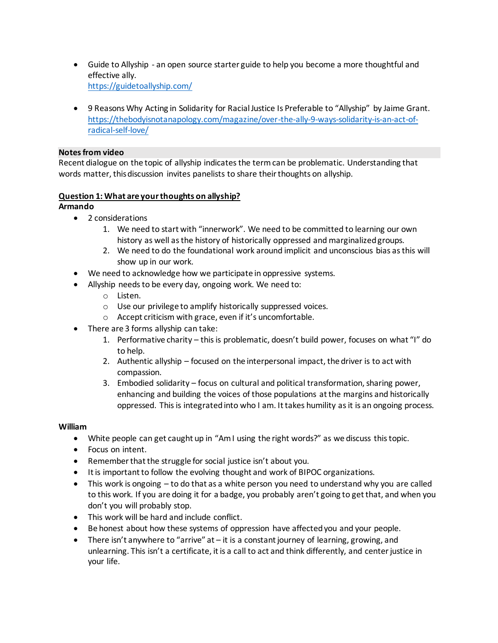- Guide to Allyship an open source starter guide to help you become a more thoughtful and effective ally. <https://guidetoallyship.com/>
- 9 Reasons Why Acting in Solidarity for Racial Justice Is Preferable to "Allyship" by Jaime Grant. [https://thebodyisnotanapology.com/magazine/over-the-ally-9-ways-solidarity-is-an-act-of](https://thebodyisnotanapology.com/magazine/over-the-ally-9-ways-solidarity-is-an-act-of-radical-self-love/)[radical-self-love/](https://thebodyisnotanapology.com/magazine/over-the-ally-9-ways-solidarity-is-an-act-of-radical-self-love/)

### **Notes from video**

Recent dialogue on the topic of allyship indicates the term can be problematic. Understanding that words matter, this discussion invites panelists to share their thoughts on allyship.

# **Question 1: What are your thoughts on allyship?**

# **Armando**

- 2 considerations
	- 1. We need to start with "innerwork". We need to be committed to learning our own history as well as the history of historically oppressed and marginalized groups.
	- 2. We need to do the foundational work around implicit and unconscious bias as this will show up in our work.
- We need to acknowledge how we participate in oppressive systems.
- Allyship needs to be every day, ongoing work. We need to:
	- o Listen.
	- o Use our privilege to amplify historically suppressed voices.
	- o Accept criticism with grace, even if it's uncomfortable.
- There are 3 forms allyship can take:
	- 1. Performative charity this is problematic, doesn't build power, focuses on what "I" do to help.
	- 2. Authentic allyship focused on the interpersonal impact, the driver is to act with compassion.
	- 3. Embodied solidarity focus on cultural and political transformation, sharing power, enhancing and building the voices of those populations at the margins and historically oppressed. This is integrated into who I am. It takes humility as it is an ongoing process.

### **William**

- White people can get caught up in "Am I using the right words?" as we discuss this topic.
- Focus on intent.
- Remember that the struggle for social justice isn't about you.
- It is important to follow the evolving thought and work of BIPOC organizations.
- This work is ongoing to do that as a white person you need to understand why you are called to this work. If you are doing it for a badge, you probably aren't going to get that, and when you don't you will probably stop.
- This work will be hard and include conflict.
- Be honest about how these systems of oppression have affected you and your people.
- There isn't anywhere to "arrive" at it is a constant journey of learning, growing, and unlearning. This isn't a certificate, it is a call to act and think differently, and center justice in your life.